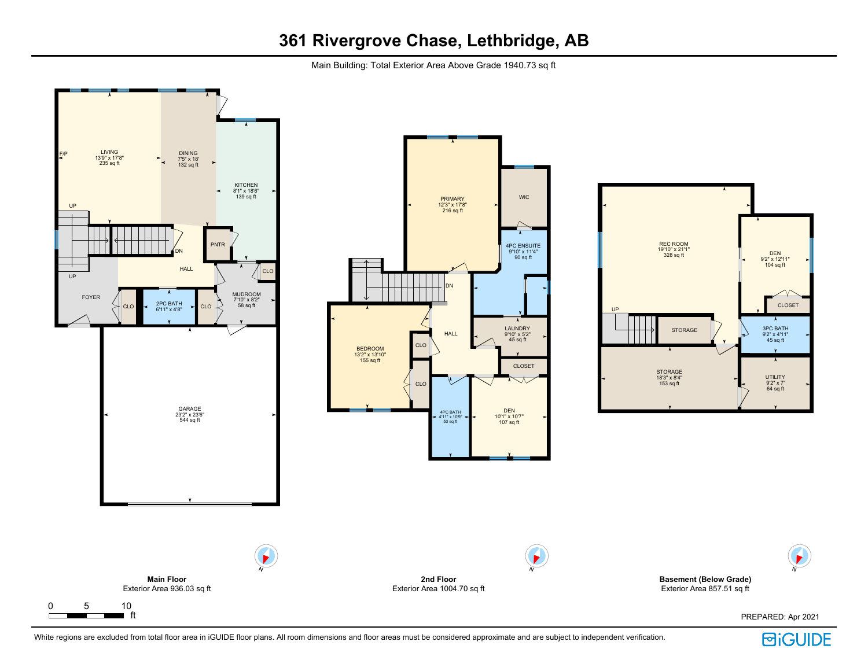Main Building: Total Exterior Area Above Grade 1940.73 sq ft



PREPARED: Apr 2021

**UTILITY** 9'2" x 7' 64 sq ft

DEN 9'2" x 12'11" 104 sq ft



N

 $\blacktriangleright$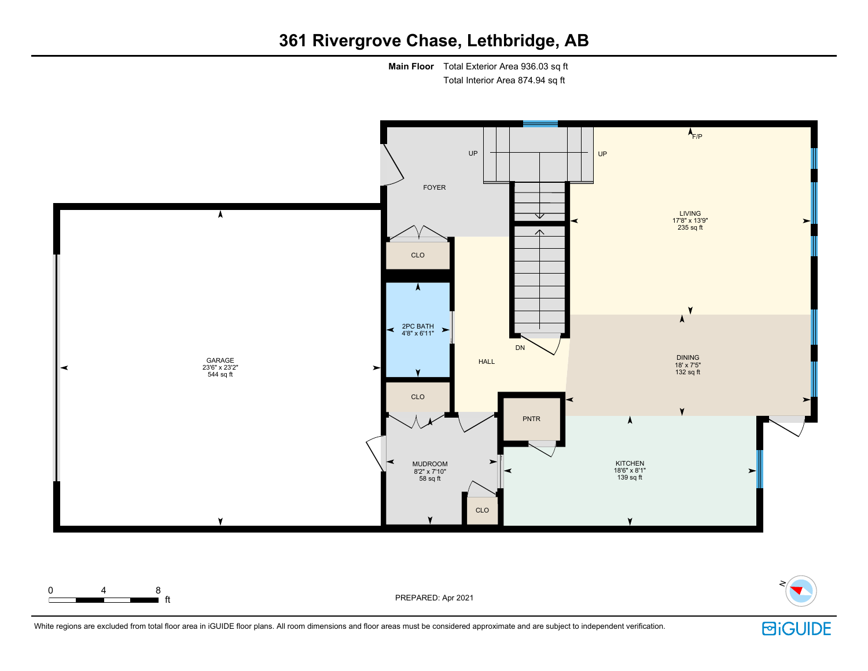**Main Floor** Total Exterior Area 936.03 sq ft Total Interior Area 874.94 sq ft



White regions are excluded from total floor area in iGUIDE floor plans. All room dimensions and floor areas must be considered approximate and are subject to independent verification.

**ft** PREPARED: Apr 2021

0 4 8

**回iGUIDE** 

N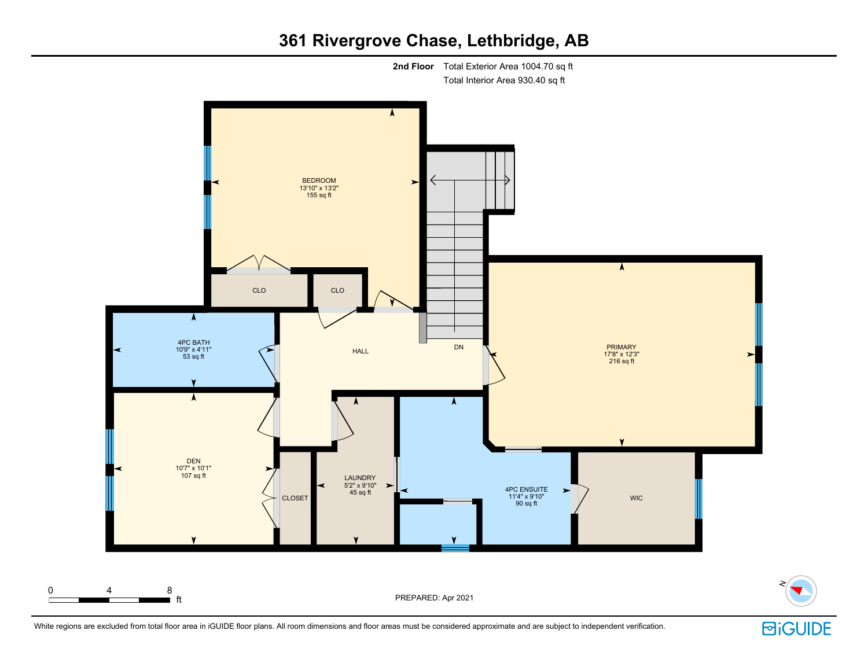



N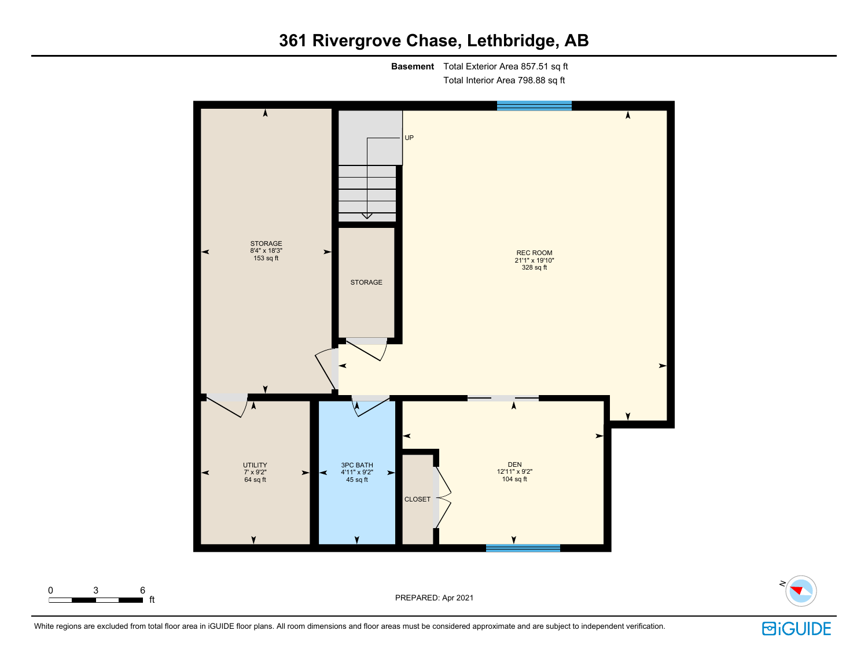**Basement** Total Exterior Area 857.51 sq ft Total Interior Area 798.88 sq ft





White regions are excluded from total floor area in iGUIDE floor plans. All room dimensions and floor areas must be considered approximate and are subject to independent verification.

0 3 6

# **回iGUIDE**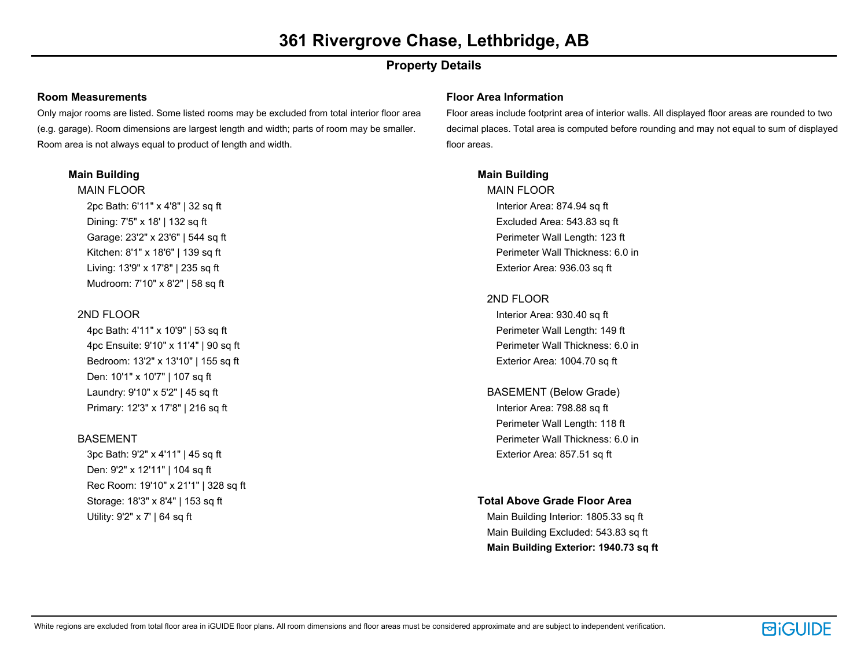### **Property Details**

#### **Room Measurements**

Only major rooms are listed. Some listed rooms may be excluded from total interior floor area (e.g. garage). Room dimensions are largest length and width; parts of room may be smaller. Room area is not always equal to product of length and width.

#### **Main Building**

MAIN FLOOR 2pc Bath: 6'11" x 4'8" | 32 sq ft Dining: 7'5" x 18' | 132 sq ft Garage: 23'2" x 23'6" | 544 sq ft Kitchen: 8'1" x 18'6" | 139 sq ft Living: 13'9" x 17'8" | 235 sq ft Mudroom: 7'10" x 8'2" | 58 sq ft

#### 2ND FLOOR

4pc Bath: 4'11" x 10'9" | 53 sq ft 4pc Ensuite: 9'10" x 11'4" | 90 sq ft Bedroom: 13'2" x 13'10" | 155 sq ft Den: 10'1" x 10'7" | 107 sq ft Laundry: 9'10" x 5'2" | 45 sq ft Primary: 12'3" x 17'8" | 216 sq ft

#### BASEMENT

3pc Bath: 9'2" x 4'11" | 45 sq ft Den: 9'2" x 12'11" | 104 sq ft Rec Room: 19'10" x 21'1" | 328 sq ft Storage: 18'3" x 8'4" | 153 sq ft Utility: 9'2" x 7' | 64 sq ft

#### **Floor Area Information**

Floor areas include footprint area of interior walls. All displayed floor areas are rounded to two decimal places. Total area is computed before rounding and may not equal to sum of displayed floor areas.

#### **Main Building**

MAIN FLOOR Interior Area: 874.94 sq ft Excluded Area: 543.83 sq ft Perimeter Wall Length: 123 ft Perimeter Wall Thickness: 6.0 in Exterior Area: 936.03 sq ft

#### 2ND FLOOR

Interior Area: 930.40 sq ft Perimeter Wall Length: 149 ft Perimeter Wall Thickness: 6.0 in Exterior Area: 1004.70 sq ft

BASEMENT (Below Grade) Interior Area: 798.88 sq ft Perimeter Wall Length: 118 ft Perimeter Wall Thickness: 6.0 in Exterior Area: 857.51 sq ft

#### **Total Above Grade Floor Area**

Main Building Interior: 1805.33 sq ft Main Building Excluded: 543.83 sq ft **Main Building Exterior: 1940.73 sq ft**